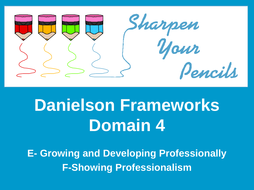

# **Danielson Frameworks Domain 4**

**E- Growing and Developing Professionally F-Showing Professionalism**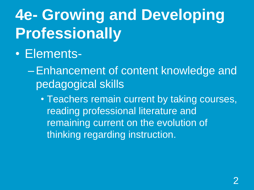# **4e- Growing and Developing Professionally**

#### • Elements-

–Enhancement of content knowledge and pedagogical skills

• Teachers remain current by taking courses, reading professional literature and remaining current on the evolution of thinking regarding instruction.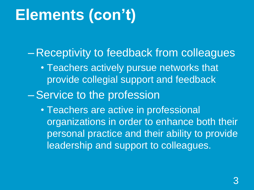# **Elements (con't)**

– Receptivity to feedback from colleagues

• Teachers actively pursue networks that provide collegial support and feedback

–Service to the profession

• Teachers are active in professional organizations in order to enhance both their personal practice and their ability to provide leadership and support to colleagues.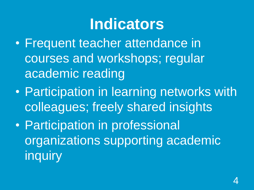### **Indicators**

- Frequent teacher attendance in courses and workshops; regular academic reading
- Participation in learning networks with colleagues; freely shared insights
- Participation in professional organizations supporting academic inquiry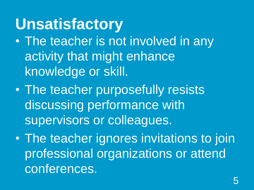#### **Unsatisfactory**

- The teacher is not involved in any activity that might enhance knowledge or skill.
- The teacher purposefully resists discussing performance with supervisors or colleagues.
- The teacher ignores invitations to join professional organizations or attend conferences.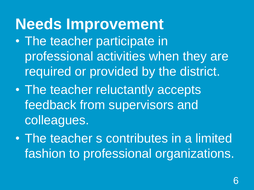# **Needs Improvement**

- The teacher participate in professional activities when they are required or provided by the district.
- The teacher reluctantly accepts feedback from supervisors and colleagues.
- The teacher s contributes in a limited fashion to professional organizations.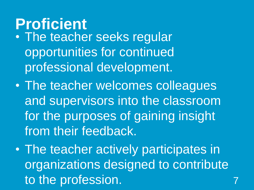#### **Proficient**

- The teacher seeks regular opportunities for continued professional development.
- The teacher welcomes colleagues and supervisors into the classroom for the purposes of gaining insight from their feedback.
- The teacher actively participates in organizations designed to contribute to the profession.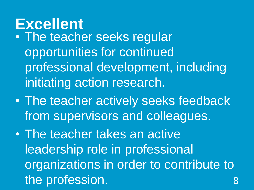#### **Excellent**

- The teacher seeks regular opportunities for continued professional development, including initiating action research.
- The teacher actively seeks feedback from supervisors and colleagues.
- The teacher takes an active leadership role in professional organizations in order to contribute to the profession. 8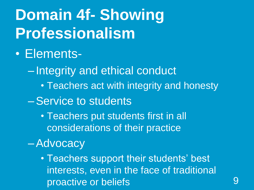# **Domain 4f- Showing Professionalism**

#### • Elements-

– Integrity and ethical conduct

• Teachers act with integrity and honesty

–Service to students

• Teachers put students first in all considerations of their practice

–Advocacy

• Teachers support their students' best interests, even in the face of traditional proactive or beliefs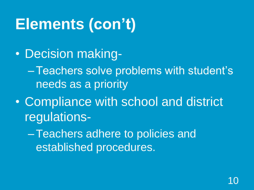# **Elements (con't)**

• Decision making-

–Teachers solve problems with student's needs as a priority

• Compliance with school and district regulations-

–Teachers adhere to policies and established procedures.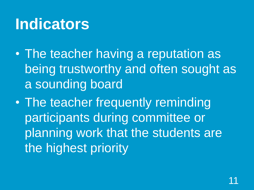# **Indicators**

- The teacher having a reputation as being trustworthy and often sought as a sounding board
- The teacher frequently reminding participants during committee or planning work that the students are the highest priority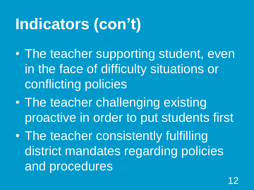# **Indicators (con't)**

- The teacher supporting student, even in the face of difficulty situations or conflicting policies
- The teacher challenging existing proactive in order to put students first
- The teacher consistently fulfilling district mandates regarding policies and procedures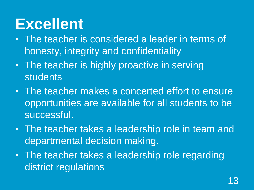### **Excellent**

- The teacher is considered a leader in terms of honesty, integrity and confidentiality
- The teacher is highly proactive in serving students
- The teacher makes a concerted effort to ensure opportunities are available for all students to be successful.
- The teacher takes a leadership role in team and departmental decision making.
- The teacher takes a leadership role regarding district regulations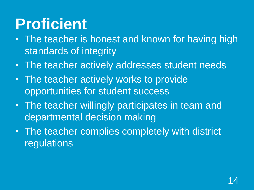# **Proficient**

- The teacher is honest and known for having high standards of integrity
- The teacher actively addresses student needs
- The teacher actively works to provide opportunities for student success
- The teacher willingly participates in team and departmental decision making
- The teacher complies completely with district regulations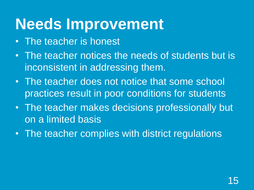# **Needs Improvement**

- The teacher is honest
- The teacher notices the needs of students but is inconsistent in addressing them.
- The teacher does not notice that some school practices result in poor conditions for students
- The teacher makes decisions professionally but on a limited basis
- The teacher complies with district regulations